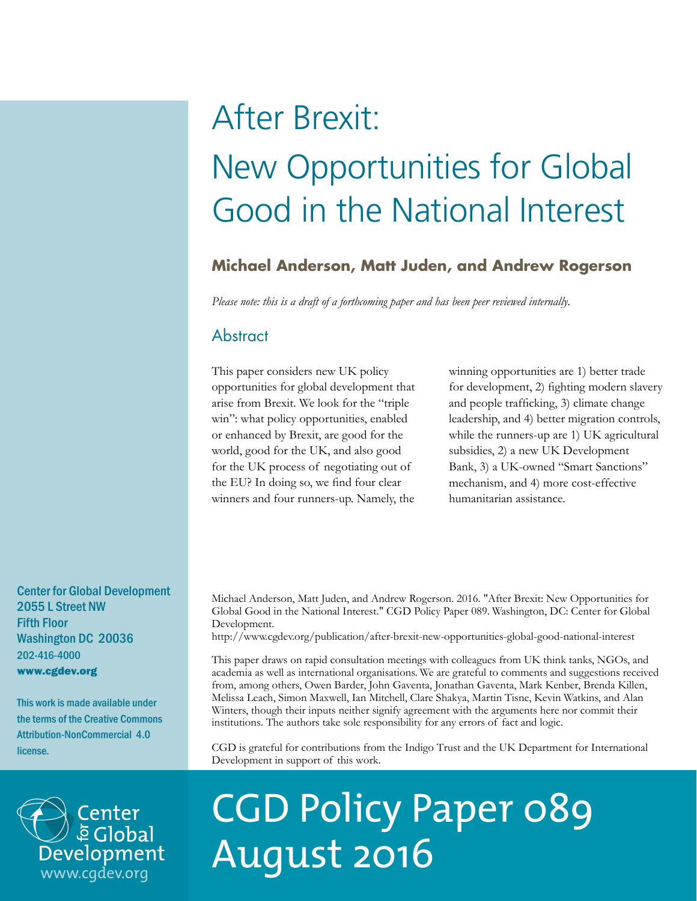# After Brexit: New Opportunities for Global Good in the National Interest

# **Michael Anderson, Matt Juden, and Andrew Rogerson**

*Please note: this is a draft of a forthcoming paper and has been peer reviewed internally.*

# **Abstract**

This paper considers new UK policy opportunities for global development that arise from Brexit. We look for the "triple win": what policy opportunities, enabled or enhanced by Brexit, are good for the world, good for the UK, and also good for the UK process of negotiating out of the EU? In doing so, we find four clear winners and four runners-up. Namely, the winning opportunities are 1) better trade for development, 2) fighting modern slavery and people trafficking, 3) climate change leadership, and 4) better migration controls, while the runners-up are 1) UK agricultural subsidies, 2) a new UK Development Bank, 3) a UK-owned "Smart Sanctions" mechanism, and 4) more cost-effective humanitarian assistance.

Center for Global Development 2055 L Street NW Fifth Floor Washington DC 20036 202-416-4000 www.cgdev.org

This work is made available under the terms of the Creative Commons Attribution-NonCommercial 4.0 license.



Michael Anderson, Matt Juden, and Andrew Rogerson. 2016. "After Brexit: New Opportunities for Global Good in the National Interest." CGD Policy Paper 089. Washington, DC: Center for Global Development.

http://www.cgdev.org/publication/after-brexit-new-opportunities-global-good-national-interest

This paper draws on rapid consultation meetings with colleagues from UK think tanks, NGOs, and academia as well as international organisations. We are grateful to comments and suggestions received from, among others, Owen Barder, John Gaventa, Jonathan Gaventa, Mark Kenber, Brenda Killen, Melissa Leach, Simon Maxwell, Ian Mitchell, Clare Shakya, Martin Tisne, Kevin Watkins, and Alan Winters, though their inputs neither signify agreement with the arguments here nor commit their institutions. The authors take sole responsibility for any errors of fact and logic.

CGD is grateful for contributions from the Indigo Trust and the UK Department for International Development in support of this work.

# CGD Policy Paper 089 August 2016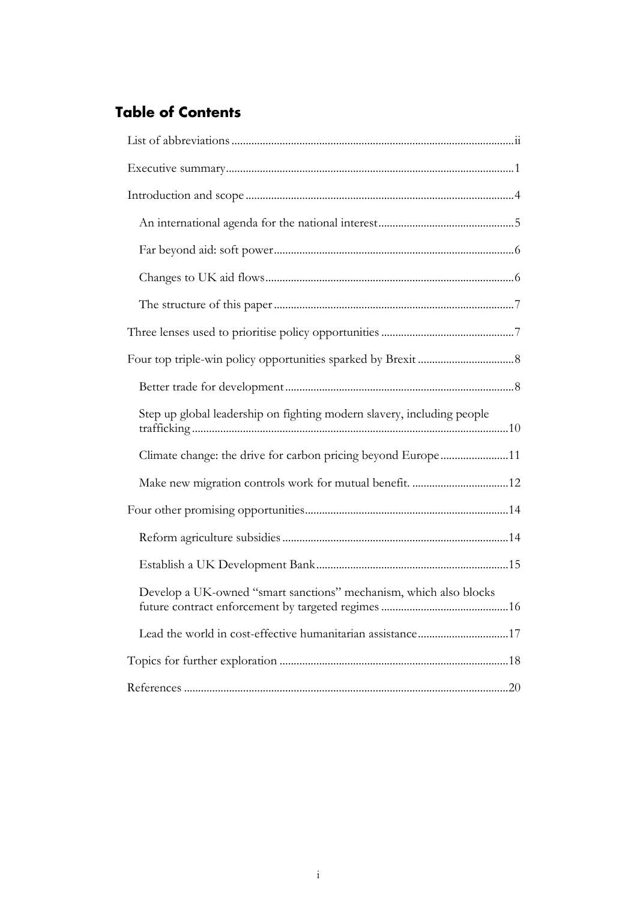# **Table of Contents**

| Step up global leadership on fighting modern slavery, including people |  |
|------------------------------------------------------------------------|--|
| Climate change: the drive for carbon pricing beyond Europe11           |  |
|                                                                        |  |
|                                                                        |  |
|                                                                        |  |
|                                                                        |  |
| Develop a UK-owned "smart sanctions" mechanism, which also blocks      |  |
| Lead the world in cost-effective humanitarian assistance17             |  |
|                                                                        |  |
|                                                                        |  |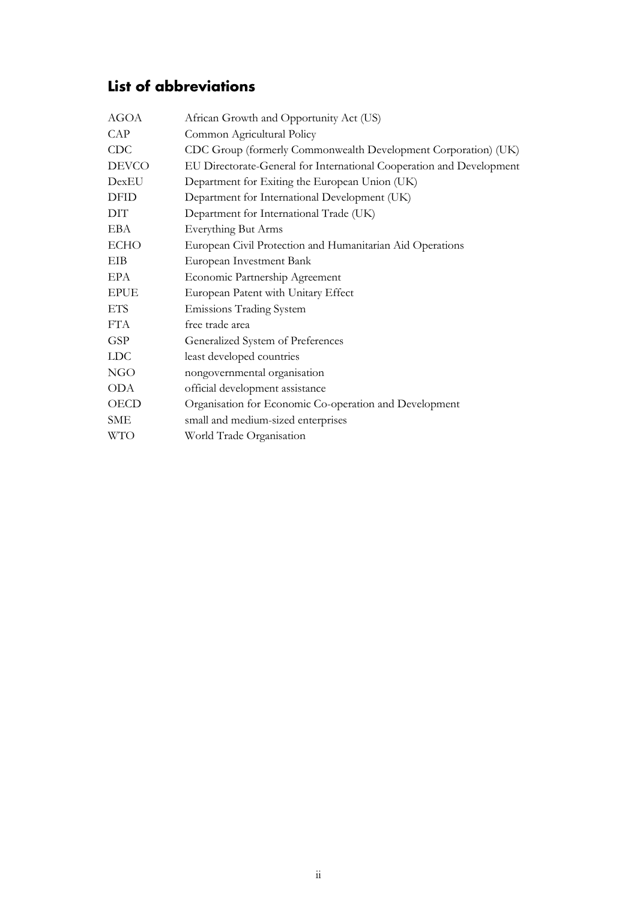# <span id="page-2-0"></span>**List of abbreviations**

| <b>AGOA</b>  | African Growth and Opportunity Act (US)                              |
|--------------|----------------------------------------------------------------------|
| CAP          | Common Agricultural Policy                                           |
| <b>CDC</b>   | CDC Group (formerly Commonwealth Development Corporation) (UK)       |
| <b>DEVCO</b> | EU Directorate-General for International Cooperation and Development |
| DexEU        | Department for Exiting the European Union (UK)                       |
| <b>DFID</b>  | Department for International Development (UK)                        |
| DIT          | Department for International Trade (UK)                              |
| EBA          | Everything But Arms                                                  |
| <b>ECHO</b>  | European Civil Protection and Humanitarian Aid Operations            |
| EIB          | European Investment Bank                                             |
| EPA          | Economic Partnership Agreement                                       |
| <b>EPUE</b>  | European Patent with Unitary Effect                                  |
| <b>ETS</b>   | <b>Emissions Trading System</b>                                      |
| <b>FTA</b>   | free trade area                                                      |
| <b>GSP</b>   | Generalized System of Preferences                                    |
| <b>LDC</b>   | least developed countries                                            |
| <b>NGO</b>   | nongovernmental organisation                                         |
| <b>ODA</b>   | official development assistance                                      |
| OECD         | Organisation for Economic Co-operation and Development               |
| <b>SME</b>   | small and medium-sized enterprises                                   |
| <b>WTO</b>   | World Trade Organisation                                             |
|              |                                                                      |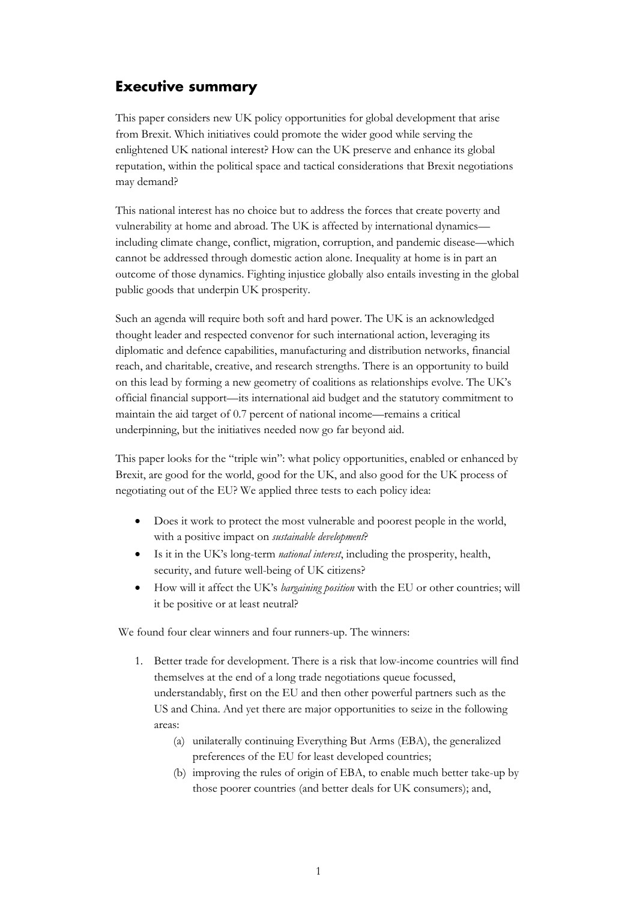# <span id="page-3-0"></span>**Executive summary**

This paper considers new UK policy opportunities for global development that arise from Brexit. Which initiatives could promote the wider good while serving the enlightened UK national interest? How can the UK preserve and enhance its global reputation, within the political space and tactical considerations that Brexit negotiations may demand?

This national interest has no choice but to address the forces that create poverty and vulnerability at home and abroad. The UK is affected by international dynamics including climate change, conflict, migration, corruption, and pandemic disease—which cannot be addressed through domestic action alone. Inequality at home is in part an outcome of those dynamics. Fighting injustice globally also entails investing in the global public goods that underpin UK prosperity.

Such an agenda will require both soft and hard power. The UK is an acknowledged thought leader and respected convenor for such international action, leveraging its diplomatic and defence capabilities, manufacturing and distribution networks, financial reach, and charitable, creative, and research strengths. There is an opportunity to build on this lead by forming a new geometry of coalitions as relationships evolve. The UK's official financial support—its international aid budget and the statutory commitment to maintain the aid target of 0.7 percent of national income—remains a critical underpinning, but the initiatives needed now go far beyond aid.

This paper looks for the "triple win": what policy opportunities, enabled or enhanced by Brexit, are good for the world, good for the UK, and also good for the UK process of negotiating out of the EU? We applied three tests to each policy idea:

- Does it work to protect the most vulnerable and poorest people in the world, with a positive impact on *sustainable development*?
- Is it in the UK's long-term *national interest*, including the prosperity, health, security, and future well-being of UK citizens?
- How will it affect the UK's *bargaining position* with the EU or other countries; will it be positive or at least neutral?

We found four clear winners and four runners-up. The winners:

- 1. Better trade for development. There is a risk that low-income countries will find themselves at the end of a long trade negotiations queue focussed, understandably, first on the EU and then other powerful partners such as the US and China. And yet there are major opportunities to seize in the following areas:
	- (a) unilaterally continuing Everything But Arms (EBA), the generalized preferences of the EU for least developed countries;
	- (b) improving the rules of origin of EBA, to enable much better take-up by those poorer countries (and better deals for UK consumers); and,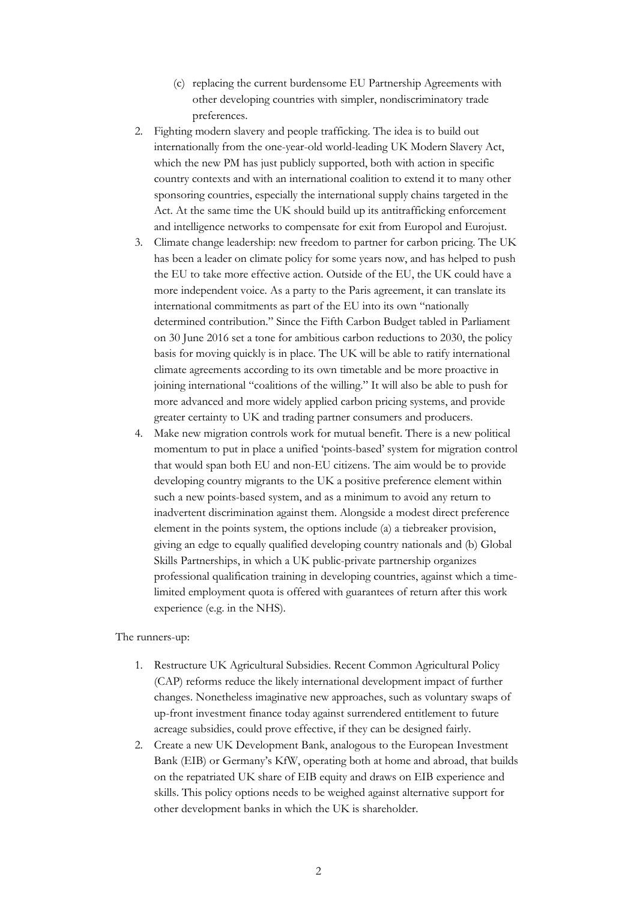- (c) replacing the current burdensome EU Partnership Agreements with other developing countries with simpler, nondiscriminatory trade preferences.
- 2. Fighting modern slavery and people trafficking. The idea is to build out internationally from the one-year-old world-leading UK Modern Slavery Act, which the new PM has just publicly supported, both with action in specific country contexts and with an international coalition to extend it to many other sponsoring countries, especially the international supply chains targeted in the Act. At the same time the UK should build up its antitrafficking enforcement and intelligence networks to compensate for exit from Europol and Eurojust.
- 3. Climate change leadership: new freedom to partner for carbon pricing. The UK has been a leader on climate policy for some years now, and has helped to push the EU to take more effective action. Outside of the EU, the UK could have a more independent voice. As a party to the Paris agreement, it can translate its international commitments as part of the EU into its own "nationally determined contribution." Since the Fifth Carbon Budget tabled in Parliament on 30 June 2016 set a tone for ambitious carbon reductions to 2030, the policy basis for moving quickly is in place. The UK will be able to ratify international climate agreements according to its own timetable and be more proactive in joining international "coalitions of the willing." It will also be able to push for more advanced and more widely applied carbon pricing systems, and provide greater certainty to UK and trading partner consumers and producers.
- 4. Make new migration controls work for mutual benefit. There is a new political momentum to put in place a unified 'points-based' system for migration control that would span both EU and non-EU citizens. The aim would be to provide developing country migrants to the UK a positive preference element within such a new points-based system, and as a minimum to avoid any return to inadvertent discrimination against them. Alongside a modest direct preference element in the points system, the options include (a) a tiebreaker provision, giving an edge to equally qualified developing country nationals and (b) Global Skills Partnerships, in which a UK public-private partnership organizes professional qualification training in developing countries, against which a timelimited employment quota is offered with guarantees of return after this work experience (e.g. in the NHS).

#### The runners-up:

- 1. Restructure UK Agricultural Subsidies. Recent Common Agricultural Policy (CAP) reforms reduce the likely international development impact of further changes. Nonetheless imaginative new approaches, such as voluntary swaps of up-front investment finance today against surrendered entitlement to future acreage subsidies, could prove effective, if they can be designed fairly.
- 2. Create a new UK Development Bank, analogous to the European Investment Bank (EIB) or Germany's KfW, operating both at home and abroad, that builds on the repatriated UK share of EIB equity and draws on EIB experience and skills. This policy options needs to be weighed against alternative support for other development banks in which the UK is shareholder.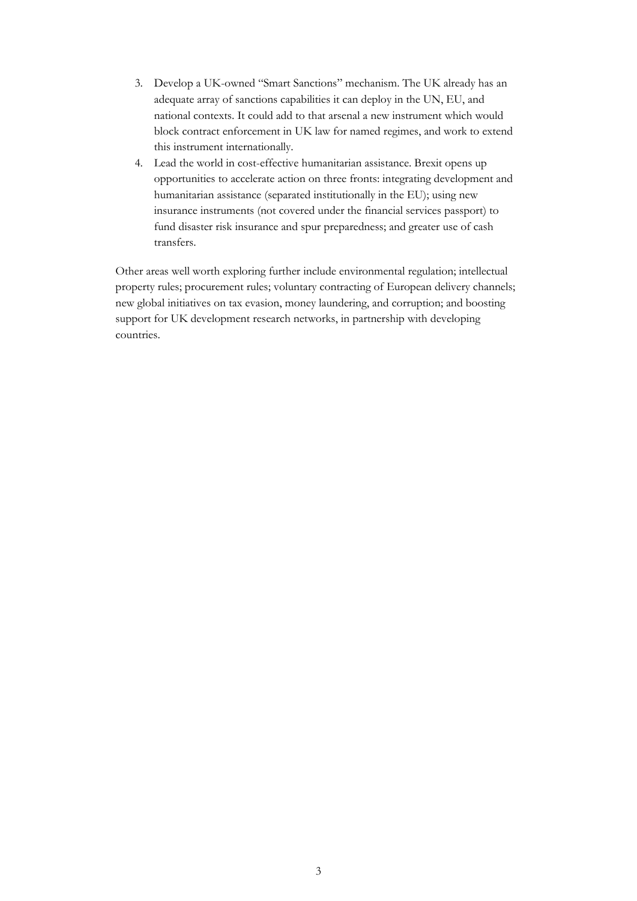- 3. Develop a UK-owned "Smart Sanctions" mechanism. The UK already has an adequate array of sanctions capabilities it can deploy in the UN, EU, and national contexts. It could add to that arsenal a new instrument which would block contract enforcement in UK law for named regimes, and work to extend this instrument internationally.
- 4. Lead the world in cost-effective humanitarian assistance. Brexit opens up opportunities to accelerate action on three fronts: integrating development and humanitarian assistance (separated institutionally in the EU); using new insurance instruments (not covered under the financial services passport) to fund disaster risk insurance and spur preparedness; and greater use of cash transfers.

Other areas well worth exploring further include environmental regulation; intellectual property rules; procurement rules; voluntary contracting of European delivery channels; new global initiatives on tax evasion, money laundering, and corruption; and boosting support for UK development research networks, in partnership with developing countries.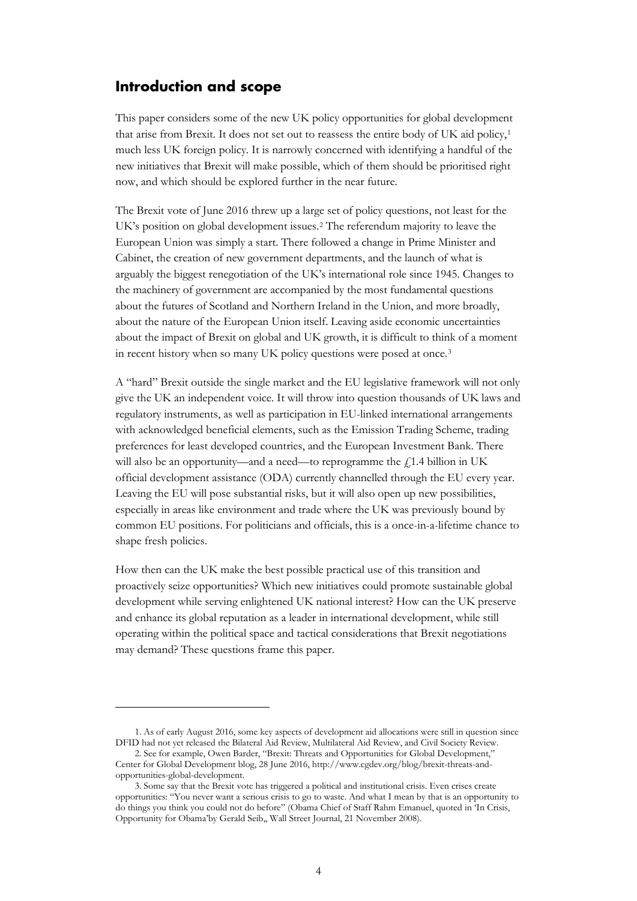## <span id="page-6-0"></span>**Introduction and scope**

This paper considers some of the new UK policy opportunities for global development that arise from Brexit. It does not set out to reassess the entire body of UK aid policy,[1](#page-6-1) much less UK foreign policy. It is narrowly concerned with identifying a handful of the new initiatives that Brexit will make possible, which of them should be prioritised right now, and which should be explored further in the near future.

The Brexit vote of June 2016 threw up a large set of policy questions, not least for the UK's position on global development issues.[2](#page-6-2) The referendum majority to leave the European Union was simply a start. There followed a change in Prime Minister and Cabinet, the creation of new government departments, and the launch of what is arguably the biggest renegotiation of the UK's international role since 1945. Changes to the machinery of government are accompanied by the most fundamental questions about the futures of Scotland and Northern Ireland in the Union, and more broadly, about the nature of the European Union itself. Leaving aside economic uncertainties about the impact of Brexit on global and UK growth, it is difficult to think of a moment in recent history when so many UK policy questions were posed at once.[3](#page-6-3) 

A "hard" Brexit outside the single market and the EU legislative framework will not only give the UK an independent voice. It will throw into question thousands of UK laws and regulatory instruments, as well as participation in EU-linked international arrangements with acknowledged beneficial elements, such as the Emission Trading Scheme, trading preferences for least developed countries, and the European Investment Bank. There will also be an opportunity—and a need—to reprogramme the  $f<sub>i</sub>1.4$  billion in UK official development assistance (ODA) currently channelled through the EU every year. Leaving the EU will pose substantial risks, but it will also open up new possibilities, especially in areas like environment and trade where the UK was previously bound by common EU positions. For politicians and officials, this is a once-in-a-lifetime chance to shape fresh policies.

How then can the UK make the best possible practical use of this transition and proactively seize opportunities? Which new initiatives could promote sustainable global development while serving enlightened UK national interest? How can the UK preserve and enhance its global reputation as a leader in international development, while still operating within the political space and tactical considerations that Brexit negotiations may demand? These questions frame this paper.

<span id="page-6-1"></span><sup>1.</sup> As of early August 2016, some key aspects of development aid allocations were still in question since DFID had not yet released the Bilateral Aid Review, Multilateral Aid Review, and Civil Society Review.

<span id="page-6-2"></span><sup>2.</sup> See for example, Owen Barder, "Brexit: Threats and Opportunities for Global Development," Center for Global Development blog, 28 June 2016, [http://www.cgdev.org/blog/brexit-threats-and](http://www.cgdev.org/blog/brexit-threats-and-opportunities-global-development)[opportunities-global-development.](http://www.cgdev.org/blog/brexit-threats-and-opportunities-global-development) 

<span id="page-6-3"></span><sup>3.</sup> Some say that the Brexit vote has triggered a political and institutional crisis. Even crises create opportunities: "You never want a serious crisis to go to waste. And what I mean by that is an opportunity to do things you think you could not do before" (Obama Chief of Staff Rahm Emanuel, quoted in 'In Crisis, Opportunity for Obama'by Gerald Seib,, Wall Street Journal, 21 November 2008).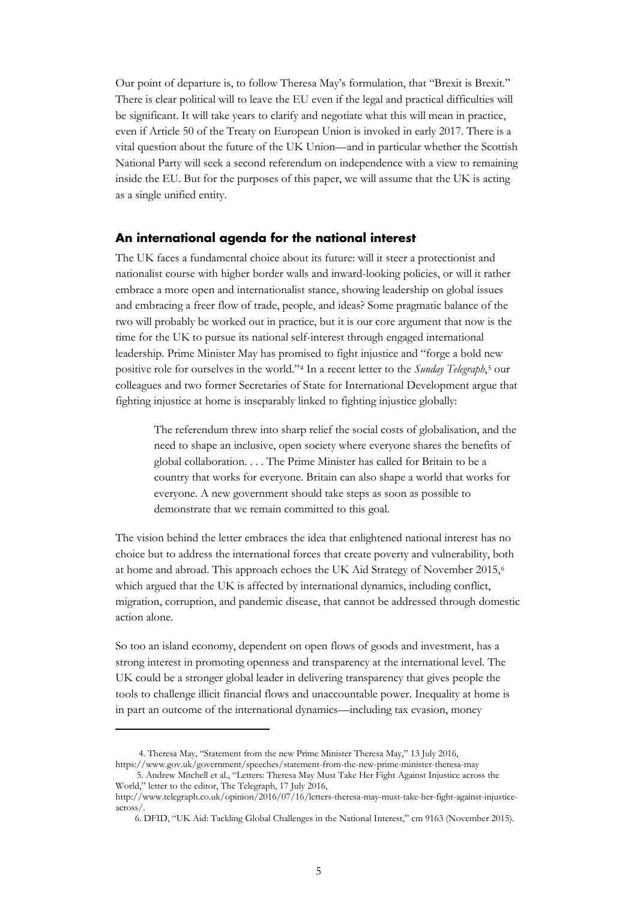Our point of departure is, to follow Theresa May's formulation, that "Brexit is Brexit." There is clear political will to leave the EU even if the legal and practical difficulties will be significant. It will take years to clarify and negotiate what this will mean in practice, even if Article 50 of the Treaty on European Union is invoked in early 2017. There is a vital question about the future of the UK Union—and in particular whether the Scottish National Party will seek a second referendum on independence with a view to remaining inside the EU. But for the purposes of this paper, we will assume that the UK is acting as a single unified entity.

## <span id="page-7-0"></span>**An international agenda for the national interest**

The UK faces a fundamental choice about its future: will it steer a protectionist and nationalist course with higher border walls and inward-looking policies, or will it rather embrace a more open and internationalist stance, showing leadership on global issues and embracing a freer flow of trade, people, and ideas? Some pragmatic balance of the two will probably be worked out in practice, but it is our core argument that now is the time for the UK to pursue its national self-interest through engaged international leadership. Prime Minister May has promised to fight injustice and "forge a bold new positive role for ourselves in the world.["4](#page-7-1) In a recent letter to the *Sunday Telegraph*,[5](#page-7-2) our colleagues and two former Secretaries of State for International Development argue that fighting injustice at home is inseparably linked to fighting injustice globally:

The referendum threw into sharp relief the social costs of globalisation, and the need to shape an inclusive, open society where everyone shares the benefits of global collaboration. . . . The Prime Minister has called for Britain to be a country that works for everyone. Britain can also shape a world that works for everyone. A new government should take steps as soon as possible to demonstrate that we remain committed to this goal.

The vision behind the letter embraces the idea that enlightened national interest has no choice but to address the international forces that create poverty and vulnerability, both at home and abroad. This approach echoes the UK Aid Strategy of November 2015,[6](#page-7-3) which argued that the UK is affected by international dynamics, including conflict, migration, corruption, and pandemic disease, that cannot be addressed through domestic action alone.

So too an island economy, dependent on open flows of goods and investment, has a strong interest in promoting openness and transparency at the international level. The UK could be a stronger global leader in delivering transparency that gives people the tools to challenge illicit financial flows and unaccountable power. Inequality at home is in part an outcome of the international dynamics—including tax evasion, money

<sup>4.</sup> Theresa May, "Statement from the new Prime Minister Theresa May," 13 July 2016,

<span id="page-7-2"></span><span id="page-7-1"></span><https://www.gov.uk/government/speeches/statement-from-the-new-prime-minister-theresa-may> 5. Andrew Mitchell et al., "Letters: Theresa May Must Take Her Fight Against Injustice across the World," letter to the editor, The Telegraph, 17 July 2016,

<span id="page-7-3"></span>[http://www.telegraph.co.uk/opinion/2016/07/16/letters-theresa-may-must-take-her-fight-against-injustice](http://www.telegraph.co.uk/opinion/2016/07/16/letters-theresa-may-must-take-her-fight-against-injustice-across/)[across/.](http://www.telegraph.co.uk/opinion/2016/07/16/letters-theresa-may-must-take-her-fight-against-injustice-across/) 

<sup>6.</sup> DFID, "UK Aid: Tackling Global Challenges in the National Interest," cm 9163 (November 2015).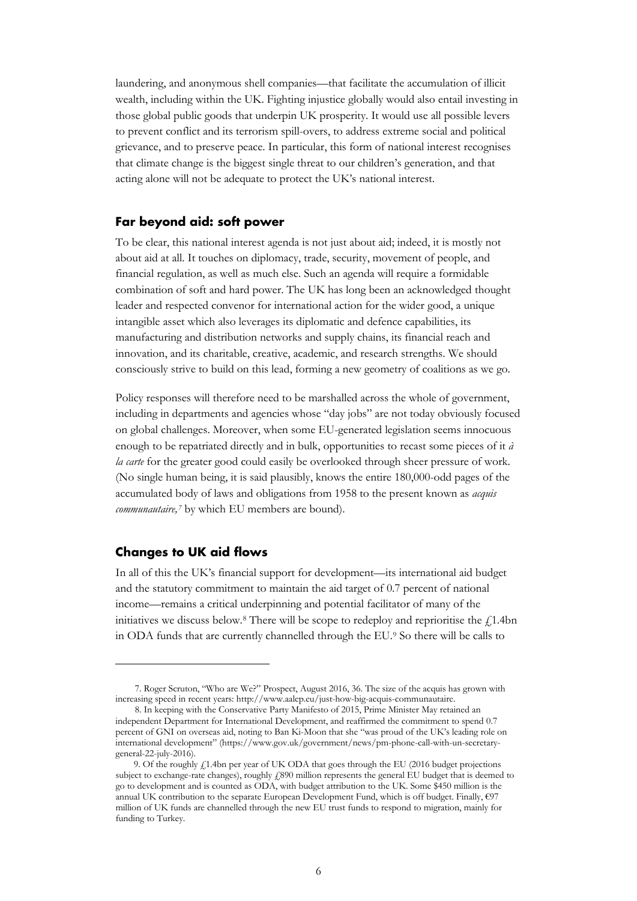laundering, and anonymous shell companies—that facilitate the accumulation of illicit wealth, including within the UK. Fighting injustice globally would also entail investing in those global public goods that underpin UK prosperity. It would use all possible levers to prevent conflict and its terrorism spill-overs, to address extreme social and political grievance, and to preserve peace. In particular, this form of national interest recognises that climate change is the biggest single threat to our children's generation, and that acting alone will not be adequate to protect the UK's national interest.

#### <span id="page-8-0"></span>**Far beyond aid: soft power**

To be clear, this national interest agenda is not just about aid; indeed, it is mostly not about aid at all. It touches on diplomacy, trade, security, movement of people, and financial regulation, as well as much else. Such an agenda will require a formidable combination of soft and hard power. The UK has long been an acknowledged thought leader and respected convenor for international action for the wider good, a unique intangible asset which also leverages its diplomatic and defence capabilities, its manufacturing and distribution networks and supply chains, its financial reach and innovation, and its charitable, creative, academic, and research strengths. We should consciously strive to build on this lead, forming a new geometry of coalitions as we go.

Policy responses will therefore need to be marshalled across the whole of government, including in departments and agencies whose "day jobs" are not today obviously focused on global challenges. Moreover, when some EU-generated legislation seems innocuous enough to be repatriated directly and in bulk, opportunities to recast some pieces of it *à la carte* for the greater good could easily be overlooked through sheer pressure of work. (No single human being, it is said plausibly, knows the entire 180,000-odd pages of the accumulated body of laws and obligations from 1958 to the present known as *acquis communautaire,[7](#page-8-2)* by which EU members are bound).

#### <span id="page-8-1"></span>**Changes to UK aid flows**

In all of this the UK's financial support for development—its international aid budget and the statutory commitment to maintain the aid target of 0.7 percent of national income—remains a critical underpinning and potential facilitator of many of the initiatives we discuss below.<sup>[8](#page-8-3)</sup> There will be scope to redeploy and reprioritise the  $f_1$ 1.4bn in ODA funds that are currently channelled through the EU.[9](#page-8-4) So there will be calls to

<span id="page-8-2"></span><sup>7.</sup> Roger Scruton, "Who are We?" Prospect, August 2016, 36. The size of the acquis has grown with increasing speed in recent years: [http://www.aalep.eu/just-how-big-acquis-communautaire.](http://www.aalep.eu/just-how-big-acquis-communautaire)

<span id="page-8-3"></span><sup>8.</sup> In keeping with the Conservative Party Manifesto of 2015, Prime Minister May retained an independent Department for International Development, and reaffirmed the commitment to spend 0.7 percent of GNI on overseas aid, noting to Ban Ki-Moon that she "was proud of the UK's leading role on international development" [\(https://www.gov.uk/government/news/pm-phone-call-with-un-secretary](https://www.gov.uk/government/news/pm-phone-call-with-un-secretary-general-22-july-2016)[general-22-july-2016\).](https://www.gov.uk/government/news/pm-phone-call-with-un-secretary-general-22-july-2016) 

<span id="page-8-4"></span><sup>9.</sup> Of the roughly £1.4bn per year of UK ODA that goes through the EU (2016 budget projections subject to exchange-rate changes), roughly £890 million represents the general EU budget that is deemed to go to development and is counted as ODA, with budget attribution to the UK. Some \$450 million is the annual UK contribution to the separate European Development Fund, which is off budget. Finally, €97 million of UK funds are channelled through the new EU trust funds to respond to migration, mainly for funding to Turkey.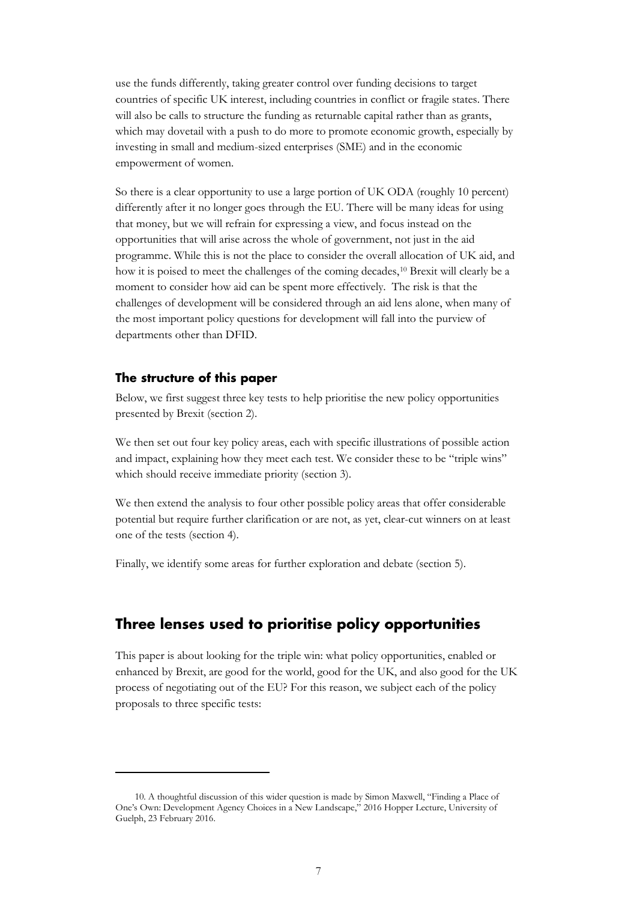use the funds differently, taking greater control over funding decisions to target countries of specific UK interest, including countries in conflict or fragile states. There will also be calls to structure the funding as returnable capital rather than as grants, which may dovetail with a push to do more to promote economic growth, especially by investing in small and medium-sized enterprises (SME) and in the economic empowerment of women.

So there is a clear opportunity to use a large portion of UK ODA (roughly 10 percent) differently after it no longer goes through the EU. There will be many ideas for using that money, but we will refrain for expressing a view, and focus instead on the opportunities that will arise across the whole of government, not just in the aid programme. While this is not the place to consider the overall allocation of UK aid, and how it is poised to meet the challenges of the coming decades,<sup>[10](#page-9-2)</sup> Brexit will clearly be a moment to consider how aid can be spent more effectively. The risk is that the challenges of development will be considered through an aid lens alone, when many of the most important policy questions for development will fall into the purview of departments other than DFID.

## <span id="page-9-0"></span>**The structure of this paper**

Below, we first suggest three key tests to help prioritise the new policy opportunities presented by Brexit (section 2).

We then set out four key policy areas, each with specific illustrations of possible action and impact, explaining how they meet each test. We consider these to be "triple wins" which should receive immediate priority (section 3).

We then extend the analysis to four other possible policy areas that offer considerable potential but require further clarification or are not, as yet, clear-cut winners on at least one of the tests (section 4).

Finally, we identify some areas for further exploration and debate (section 5).

## <span id="page-9-1"></span>**Three lenses used to prioritise policy opportunities**

This paper is about looking for the triple win: what policy opportunities, enabled or enhanced by Brexit, are good for the world, good for the UK, and also good for the UK process of negotiating out of the EU? For this reason, we subject each of the policy proposals to three specific tests:

<span id="page-9-2"></span><sup>10.</sup> A thoughtful discussion of this wider question is made by Simon Maxwell, "Finding a Place of One's Own: Development Agency Choices in a New Landscape," 2016 Hopper Lecture, University of Guelph, 23 February 2016.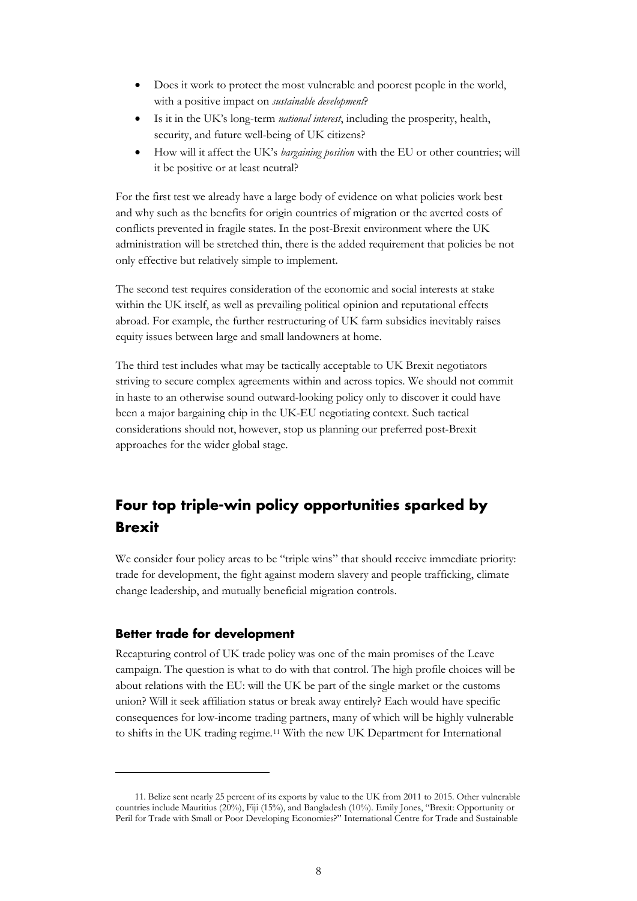- Does it work to protect the most vulnerable and poorest people in the world, with a positive impact on *sustainable development*?
- Is it in the UK's long-term *national interest*, including the prosperity, health, security, and future well-being of UK citizens?
- How will it affect the UK's *bargaining position* with the EU or other countries; will it be positive or at least neutral?

For the first test we already have a large body of evidence on what policies work best and why such as the benefits for origin countries of migration or the averted costs of conflicts prevented in fragile states. In the post-Brexit environment where the UK administration will be stretched thin, there is the added requirement that policies be not only effective but relatively simple to implement.

The second test requires consideration of the economic and social interests at stake within the UK itself, as well as prevailing political opinion and reputational effects abroad. For example, the further restructuring of UK farm subsidies inevitably raises equity issues between large and small landowners at home.

The third test includes what may be tactically acceptable to UK Brexit negotiators striving to secure complex agreements within and across topics. We should not commit in haste to an otherwise sound outward-looking policy only to discover it could have been a major bargaining chip in the UK-EU negotiating context. Such tactical considerations should not, however, stop us planning our preferred post-Brexit approaches for the wider global stage.

# <span id="page-10-0"></span>**Four top triple-win policy opportunities sparked by Brexit**

We consider four policy areas to be "triple wins" that should receive immediate priority: trade for development, the fight against modern slavery and people trafficking, climate change leadership, and mutually beneficial migration controls.

## <span id="page-10-1"></span>**Better trade for development**

Recapturing control of UK trade policy was one of the main promises of the Leave campaign. The question is what to do with that control. The high profile choices will be about relations with the EU: will the UK be part of the single market or the customs union? Will it seek affiliation status or break away entirely? Each would have specific consequences for low-income trading partners, many of which will be highly vulnerable to shifts in the UK trading regime.[11](#page-10-2) With the new UK Department for International

<span id="page-10-2"></span><sup>11.</sup> Belize sent nearly 25 percent of its exports by value to the UK from 2011 to 2015. Other vulnerable countries include Mauritius (20%), Fiji (15%), and Bangladesh (10%). Emily Jones, "Brexit: Opportunity or Peril for Trade with Small or Poor Developing Economies?" International Centre for Trade and Sustainable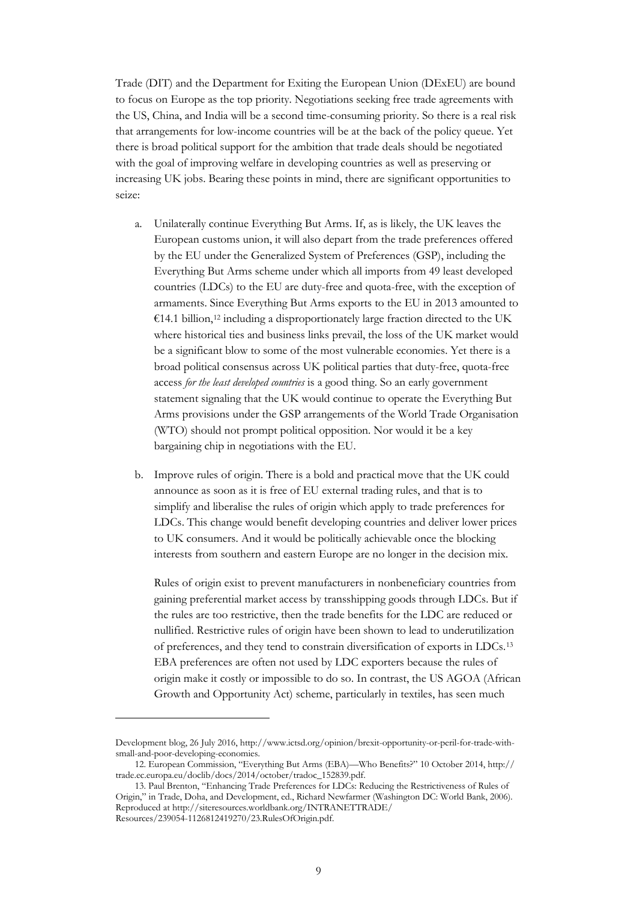Trade (DIT) and the Department for Exiting the European Union (DExEU) are bound to focus on Europe as the top priority. Negotiations seeking free trade agreements with the US, China, and India will be a second time-consuming priority. So there is a real risk that arrangements for low-income countries will be at the back of the policy queue. Yet there is broad political support for the ambition that trade deals should be negotiated with the goal of improving welfare in developing countries as well as preserving or increasing UK jobs. Bearing these points in mind, there are significant opportunities to seize:

- a. Unilaterally continue Everything But Arms. If, as is likely, the UK leaves the European customs union, it will also depart from the trade preferences offered by the EU under the Generalized System of Preferences (GSP), including the Everything But Arms scheme under which all imports from 49 least developed countries (LDCs) to the EU are duty-free and quota-free, with the exception of armaments. Since Everything But Arms exports to the EU in 2013 amounted to  $€14.1$  billion,<sup>[12](#page-11-0)</sup> including a disproportionately large fraction directed to the UK where historical ties and business links prevail, the loss of the UK market would be a significant blow to some of the most vulnerable economies. Yet there is a broad political consensus across UK political parties that duty-free, quota-free access *for the least developed countries* is a good thing. So an early government statement signaling that the UK would continue to operate the Everything But Arms provisions under the GSP arrangements of the World Trade Organisation (WTO) should not prompt political opposition. Nor would it be a key bargaining chip in negotiations with the EU.
- b. Improve rules of origin. There is a bold and practical move that the UK could announce as soon as it is free of EU external trading rules, and that is to simplify and liberalise the rules of origin which apply to trade preferences for LDCs. This change would benefit developing countries and deliver lower prices to UK consumers. And it would be politically achievable once the blocking interests from southern and eastern Europe are no longer in the decision mix.

Rules of origin exist to prevent manufacturers in nonbeneficiary countries from gaining preferential market access by transshipping goods through LDCs. But if the rules are too restrictive, then the trade benefits for the LDC are reduced or nullified. Restrictive rules of origin have been shown to lead to underutilization of preferences, and they tend to constrain diversification of exports in LDCs.[13](#page-11-1) EBA preferences are often not used by LDC exporters because the rules of origin make it costly or impossible to do so. In contrast, the US AGOA (African Growth and Opportunity Act) scheme, particularly in textiles, has seen much

Development blog, 26 July 2016, [http://www.ictsd.org/opinion/brexit-opportunity-or-peril-for-trade-with](http://www.ictsd.org/opinion/brexit-opportunity-or-peril-for-trade-with-small-and-poor-developing-economies)[small-and-poor-developing-economies.](http://www.ictsd.org/opinion/brexit-opportunity-or-peril-for-trade-with-small-and-poor-developing-economies) 

<span id="page-11-0"></span><sup>12.</sup> European Commission, "Everything But Arms (EBA)—Who Benefits?" 10 October 2014, http:// [trade.ec.europa.eu/doclib/docs/2014/october/tradoc\\_152839.pdf.](http://trade.ec.europa.eu/doclib/docs/2014/october/tradoc_152839.pdf) 

<span id="page-11-1"></span><sup>13.</sup> Paul Brenton, "Enhancing Trade Preferences for LDCs: Reducing the Restrictiveness of Rules of Origin," in Trade, Doha, and Development, ed., Richard Newfarmer (Washington DC: World Bank, 2006). Reproduced at [http://siteresources.worldbank.org/INTRANETTRADE/](http://siteresources.worldbank.org/INTRANETTRADE/Resources/239054-1126812419270/23.RulesOfOrigin.pdf) [Resources/239054-1126812419270/23.R](http://siteresources.worldbank.org/INTRANETTRADE/Resources/239054-1126812419270/23.RulesOfOrigin.pdf)ulesOfOrigin.pdf.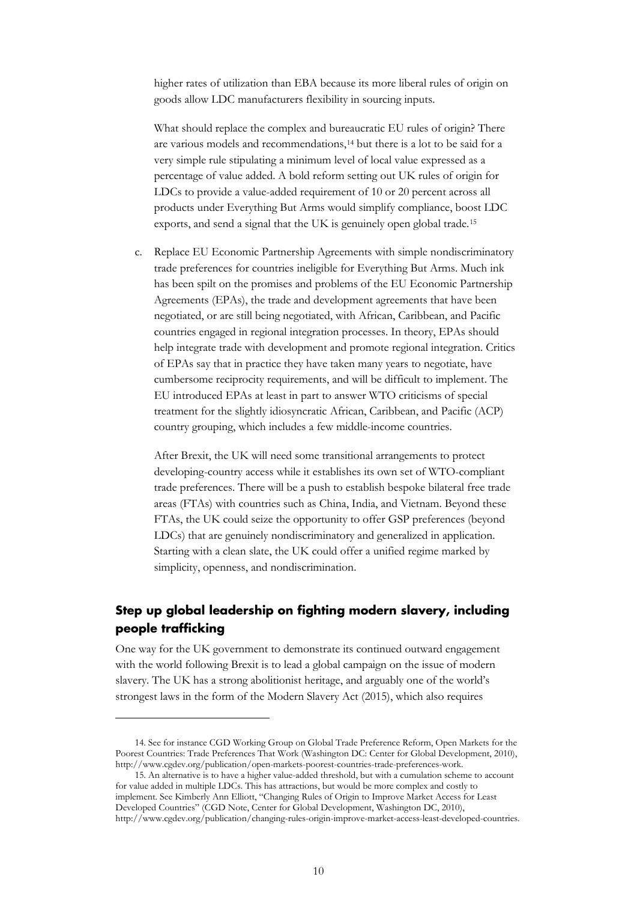higher rates of utilization than EBA because its more liberal rules of origin on goods allow LDC manufacturers flexibility in sourcing inputs.

What should replace the complex and bureaucratic EU rules of origin? There are various models and recommendations,<sup>[14](#page-12-1)</sup> but there is a lot to be said for a very simple rule stipulating a minimum level of local value expressed as a percentage of value added. A bold reform setting out UK rules of origin for LDCs to provide a value-added requirement of 10 or 20 percent across all products under Everything But Arms would simplify compliance, boost LDC exports, and send a signal that the UK is genuinely open global trade.[15](#page-12-2)

c. Replace EU Economic Partnership Agreements with simple nondiscriminatory trade preferences for countries ineligible for Everything But Arms. Much ink has been spilt on the promises and problems of the EU Economic Partnership Agreements (EPAs), the trade and development agreements that have been negotiated, or are still being negotiated, with African, Caribbean, and Pacific countries engaged in regional integration processes. In theory, EPAs should help integrate trade with development and promote regional integration. Critics of EPAs say that in practice they have taken many years to negotiate, have cumbersome reciprocity requirements, and will be difficult to implement. The EU introduced EPAs at least in part to answer WTO criticisms of special treatment for the slightly idiosyncratic African, Caribbean, and Pacific (ACP) country grouping, which includes a few middle-income countries.

After Brexit, the UK will need some transitional arrangements to protect developing-country access while it establishes its own set of WTO-compliant trade preferences. There will be a push to establish bespoke bilateral free trade areas (FTAs) with countries such as China, India, and Vietnam. Beyond these FTAs, the UK could seize the opportunity to offer GSP preferences (beyond LDCs) that are genuinely nondiscriminatory and generalized in application. Starting with a clean slate, the UK could offer a unified regime marked by simplicity, openness, and nondiscrimination.

## <span id="page-12-0"></span>**Step up global leadership on fighting modern slavery, including people trafficking**

One way for the UK government to demonstrate its continued outward engagement with the world following Brexit is to lead a global campaign on the issue of modern slavery. The UK has a strong abolitionist heritage, and arguably one of the world's strongest laws in the form of the Modern Slavery Act (2015), which also requires

<span id="page-12-1"></span><sup>14.</sup> See for instance CGD Working Group on Global Trade Preference Reform, Open Markets for the Poorest Countries: Trade Preferences That Work (Washington DC: Center for Global Development, 2010), [http://www.cgdev.org/publication/open-markets-poorest-countries-trade-preferences-work.](http://www.cgdev.org/publication/open-markets-poorest-countries-trade-preferences-work) 

<span id="page-12-2"></span><sup>15.</sup> An alternative is to have a higher value-added threshold, but with a cumulation scheme to account for value added in multiple LDCs. This has attractions, but would be more complex and costly to implement. See Kimberly Ann Elliott, "Changing Rules of Origin to Improve Market Access for Least Developed Countries" (CGD Note, Center for Global Development, Washington DC, 2010), [http://www.cgdev.org/publication/changing-rules-origin-improve-market-access-least-developed-countries.](http://www.cgdev.org/publication/changing-rules-origin-improve-market-access-least-developed-countries)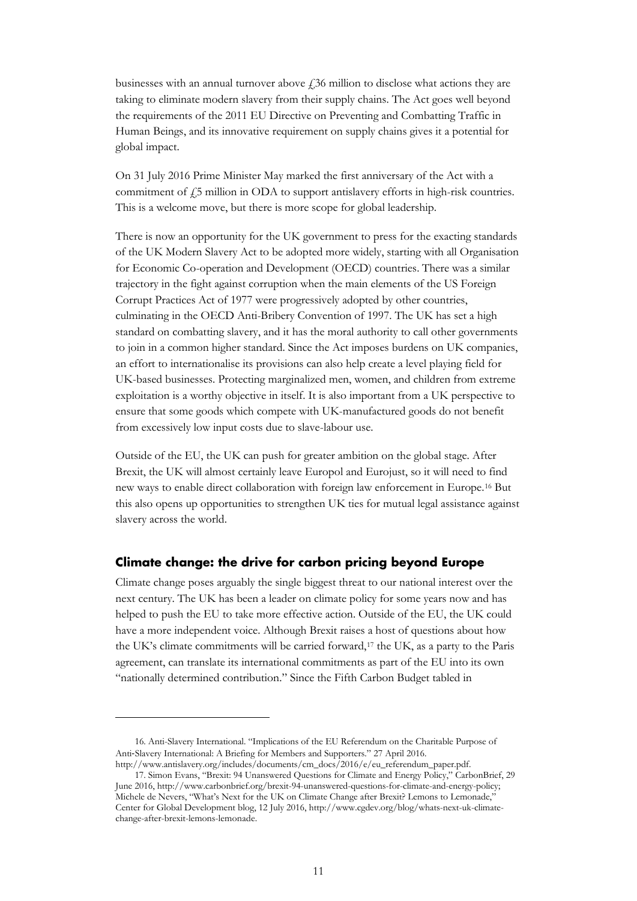businesses with an annual turnover above  $f<sub>i</sub>$ 36 million to disclose what actions they are taking to eliminate modern slavery from their supply chains. The Act goes well beyond the requirements of the 2011 EU Directive on Preventing and Combatting Traffic in Human Beings, and its innovative requirement on supply chains gives it a potential for global impact.

On 31 July 2016 Prime Minister May marked the first anniversary of the Act with a commitment of  $f$ 5 million in ODA to support antislavery efforts in high-risk countries. This is a welcome move, but there is more scope for global leadership.

There is now an opportunity for the UK government to press for the exacting standards of the UK Modern Slavery Act to be adopted more widely, starting with all Organisation for Economic Co-operation and Development (OECD) countries. There was a similar trajectory in the fight against corruption when the main elements of the US Foreign Corrupt Practices Act of 1977 were progressively adopted by other countries, culminating in the OECD Anti-Bribery Convention of 1997. The UK has set a high standard on combatting slavery, and it has the moral authority to call other governments to join in a common higher standard. Since the Act imposes burdens on UK companies, an effort to internationalise its provisions can also help create a level playing field for UK-based businesses. Protecting marginalized men, women, and children from extreme exploitation is a worthy objective in itself. It is also important from a UK perspective to ensure that some goods which compete with UK-manufactured goods do not benefit from excessively low input costs due to slave-labour use.

Outside of the EU, the UK can push for greater ambition on the global stage. After Brexit, the UK will almost certainly leave Europol and Eurojust, so it will need to find new ways to enable direct collaboration with foreign law enforcement in Europe.[16](#page-13-1) But this also opens up opportunities to strengthen UK ties for mutual legal assistance against slavery across the world.

## <span id="page-13-0"></span>**Climate change: the drive for carbon pricing beyond Europe**

Climate change poses arguably the single biggest threat to our national interest over the next century. The UK has been a leader on climate policy for some years now and has helped to push the EU to take more effective action. Outside of the EU, the UK could have a more independent voice. Although Brexit raises a host of questions about how the UK's climate commitments will be carried forward,[17](#page-13-2) the UK, as a party to the Paris agreement, can translate its international commitments as part of the EU into its own "nationally determined contribution." Since the Fifth Carbon Budget tabled in

<span id="page-13-1"></span><sup>16.</sup> Anti-Slavery International. "Implications of the EU Referendum on the Charitable Purpose of Anti‐Slavery International: A Briefing for Members and Supporters." 27 April 2016. [http://www.antislavery.org/includes/documents/cm\\_docs/2016/e/eu\\_referendum\\_paper.pdf.](http://www.antislavery.org/includes/documents/cm_docs/2016/e/eu_referendum_paper.pdf) 

<span id="page-13-2"></span><sup>17.</sup> Simon Evans, "Brexit: 94 Unanswered Questions for Climate and Energy Policy," CarbonBrief, 29 June 2016, [http://www.carbonbrief.org/brexit-94-unanswered-questions-for-climate-and-energy-policy;](http://www.carbonbrief.org/brexit-94-unanswered-questions-for-climate-and-energy-policy) Michele de Nevers, "What's Next for the UK on Climate Change after Brexit? Lemons to Lemonade," Center for Global Development blog, 12 July 2016, [http://www.cgdev.org/blog/whats-next-uk-climate](http://www.cgdev.org/blog/whats-next-uk-climate-change-after-brexit-lemons-lemonade)[change-after-brexit-lemons-lemonade.](http://www.cgdev.org/blog/whats-next-uk-climate-change-after-brexit-lemons-lemonade)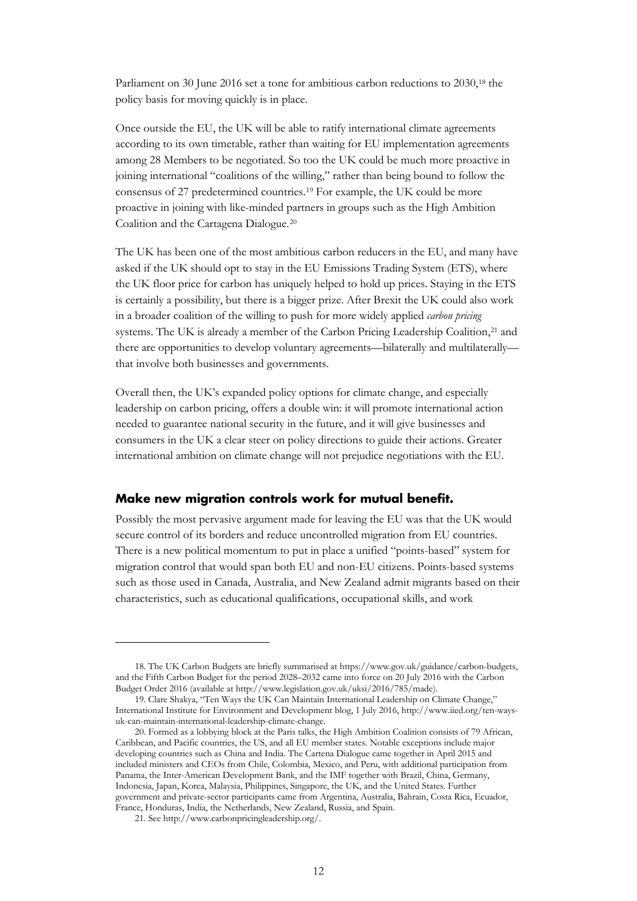Parliament on 30 June 2016 set a tone for ambitious carbon reductions to 2030,<sup>18</sup> the policy basis for moving quickly is in place.

Once outside the EU, the UK will be able to ratify international climate agreements according to its own timetable, rather than waiting for EU implementation agreements among 28 Members to be negotiated. So too the UK could be much more proactive in joining international "coalitions of the willing," rather than being bound to follow the consensus of 27 predetermined countries.[19](#page-14-2) For example, the UK could be more proactive in joining with like-minded partners in groups such as the High Ambition Coalition and the Cartagena Dialogue.[20](#page-14-3)

The UK has been one of the most ambitious carbon reducers in the EU, and many have asked if the UK should opt to stay in the EU Emissions Trading System (ETS), where the UK floor price for carbon has uniquely helped to hold up prices. Staying in the ETS is certainly a possibility, but there is a bigger prize. After Brexit the UK could also work in a broader coalition of the willing to push for more widely applied *carbon pricing* systems. The UK is already a member of the Carbon Pricing Leadership Coalition,<sup>[21](#page-14-4)</sup> and there are opportunities to develop voluntary agreements—bilaterally and multilaterally that involve both businesses and governments.

Overall then, the UK's expanded policy options for climate change, and especially leadership on carbon pricing, offers a double win: it will promote international action needed to guarantee national security in the future, and it will give businesses and consumers in the UK a clear steer on policy directions to guide their actions. Greater international ambition on climate change will not prejudice negotiations with the EU.

## <span id="page-14-0"></span>**Make new migration controls work for mutual benefit.**

Possibly the most pervasive argument made for leaving the EU was that the UK would secure control of its borders and reduce uncontrolled migration from EU countries. There is a new political momentum to put in place a unified "points-based" system for migration control that would span both EU and non-EU citizens. Points-based systems such as those used in Canada, Australia, and New Zealand admit migrants based on their characteristics, such as educational qualifications, occupational skills, and work

<span id="page-14-1"></span><sup>18.</sup> The UK Carbon Budgets are briefly summarised at [https://www.gov.uk/guidance/carbon-budgets,](https://www.gov.uk/guidance/carbon-budgets) and the Fifth Carbon Budget for the period 2028–2032 came into force on 20 July 2016 with the Carbon Budget Order 2016 (available at [http://www.legislation.gov.uk/uksi/2016/785/made\)](http://www.legislation.gov.uk/uksi/2016/785/made).

<span id="page-14-2"></span><sup>19.</sup> Clare Shakya, "Ten Ways the UK Can Maintain International Leadership on Climate Change," International Institute for Environment and Development blog, 1 July 2016, [http://www.iied.org/ten-ways](http://www.iied.org/ten-ways-uk-can-maintain-international-leadership-climate-change)[uk-can-maintain-international-leadership-climate-change.](http://www.iied.org/ten-ways-uk-can-maintain-international-leadership-climate-change) 

<span id="page-14-3"></span><sup>20.</sup> Formed as a lobbying block at the Paris talks, the High Ambition Coalition consists of 79 African, Caribbean, and Pacific countries, the US, and all EU member states. Notable exceptions include major developing countries such as China and India. The Cartena Dialogue came together in April 2015 and included ministers and CEOs from Chile, Colombia, Mexico, and Peru, with additional participation from Panama, the Inter-American Development Bank, and the IMF together with Brazil, China, Germany, Indonesia, Japan, Korea, Malaysia, Philippines, Singapore, the UK, and the United States. Further government and private-sector participants came from Argentina, Australia, Bahrain, Costa Rica, Ecuador, France, Honduras, India, the Netherlands, New Zealand, Russia, and Spain.

<span id="page-14-4"></span><sup>21.</sup> See [http://www.carbonpricingleadership.org/.](http://www.carbonpricingleadership.org/)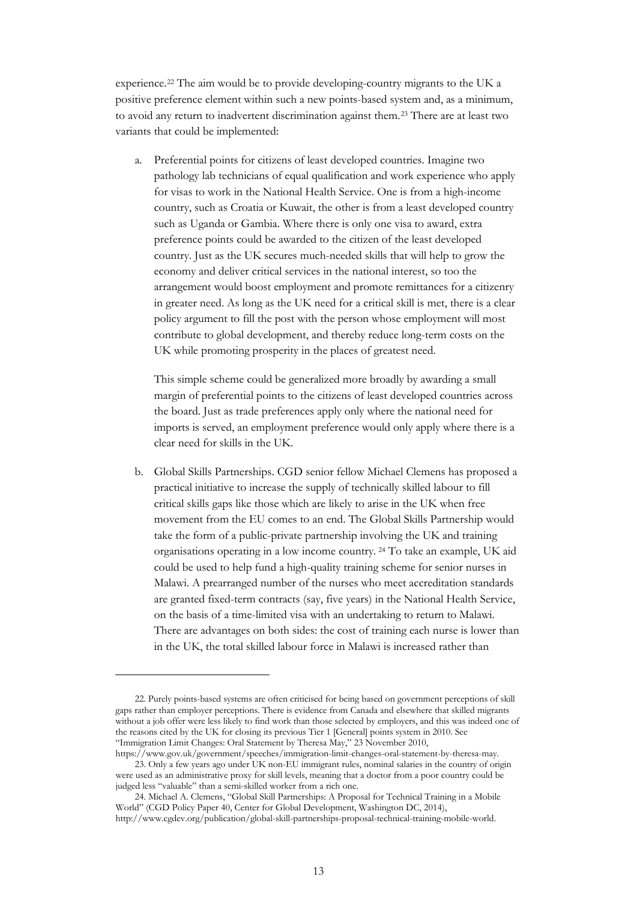experience.[22](#page-15-0) The aim would be to provide developing-country migrants to the UK a positive preference element within such a new points-based system and, as a minimum, to avoid any return to inadvertent discrimination against them.[23](#page-15-1) There are at least two variants that could be implemented:

a. Preferential points for citizens of least developed countries. Imagine two pathology lab technicians of equal qualification and work experience who apply for visas to work in the National Health Service. One is from a high-income country, such as Croatia or Kuwait, the other is from a least developed country such as Uganda or Gambia. Where there is only one visa to award, extra preference points could be awarded to the citizen of the least developed country. Just as the UK secures much-needed skills that will help to grow the economy and deliver critical services in the national interest, so too the arrangement would boost employment and promote remittances for a citizenry in greater need. As long as the UK need for a critical skill is met, there is a clear policy argument to fill the post with the person whose employment will most contribute to global development, and thereby reduce long-term costs on the UK while promoting prosperity in the places of greatest need.

This simple scheme could be generalized more broadly by awarding a small margin of preferential points to the citizens of least developed countries across the board. Just as trade preferences apply only where the national need for imports is served, an employment preference would only apply where there is a clear need for skills in the UK.

b. Global Skills Partnerships. CGD senior fellow Michael Clemens has proposed a practical initiative to increase the supply of technically skilled labour to fill critical skills gaps like those which are likely to arise in the UK when free movement from the EU comes to an end. The Global Skills Partnership would take the form of a public-private partnership involving the UK and training organisations operating in a low income country. [24](#page-15-2) To take an example, UK aid could be used to help fund a high-quality training scheme for senior nurses in Malawi. A prearranged number of the nurses who meet accreditation standards are granted fixed-term contracts (say, five years) in the National Health Service, on the basis of a time-limited visa with an undertaking to return to Malawi. There are advantages on both sides: the cost of training each nurse is lower than in the UK, the total skilled labour force in Malawi is increased rather than

<span id="page-15-0"></span><sup>22.</sup> Purely points-based systems are often criticised for being based on government perceptions of skill gaps rather than employer perceptions. There is evidence from Canada and elsewhere that skilled migrants without a job offer were less likely to find work than those selected by employers, and this was indeed one of the reasons cited by the UK for closing its previous Tier 1 [General] points system in 2010. See "Immigration Limit Changes: Oral Statement by Theresa May," 23 November 2010,

<span id="page-15-1"></span>[https://www.gov.uk/government/speeches/immigration-limit-changes-oral-statement-by-theresa-may.](https://www.gov.uk/government/speeches/immigration-limit-changes-oral-statement-by-theresa-may)  23. Only a few years ago under UK non-EU immigrant rules, nominal salaries in the country of origin were used as an administrative proxy for skill levels, meaning that a doctor from a poor country could be judged less "valuable" than a semi-skilled worker from a rich one.

<span id="page-15-2"></span><sup>24.</sup> Michael A. Clemens, "Global Skill Partnerships: A Proposal for Technical Training in a Mobile World" (CGD Policy Paper 40, Center for Global Development, Washington DC, 2014), [http://www.cgdev.org/publication/global-skill-partnerships-proposal-technical-training-mobile-world.](http://www.cgdev.org/publication/global-skill-partnerships-proposal-technical-training-mobile-world)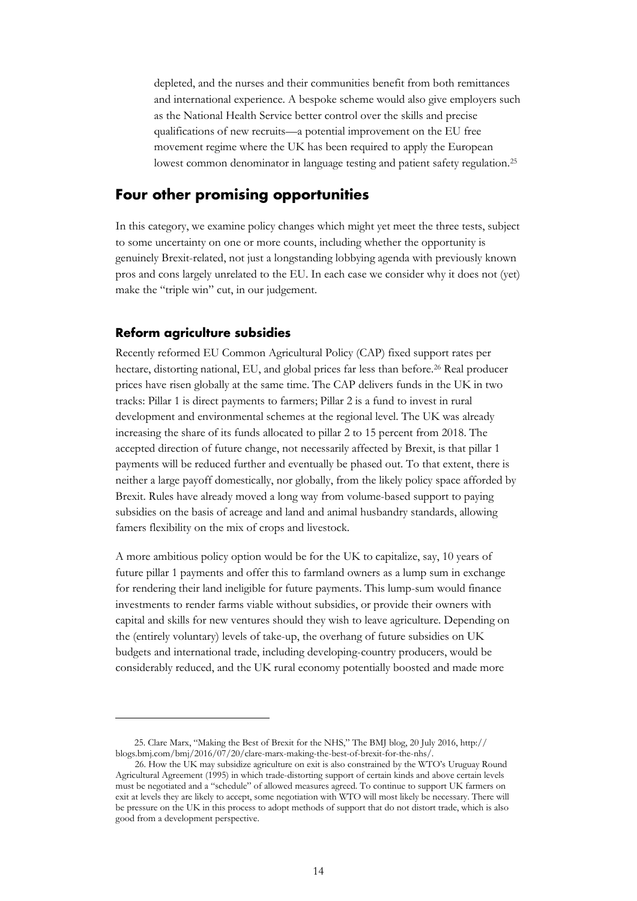depleted, and the nurses and their communities benefit from both remittances and international experience. A bespoke scheme would also give employers such as the National Health Service better control over the skills and precise qualifications of new recruits—a potential improvement on the EU free movement regime where the UK has been required to apply the European lowest common denominator in language testing and patient safety regulation.[25](#page-16-2)

## <span id="page-16-0"></span>**Four other promising opportunities**

In this category, we examine policy changes which might yet meet the three tests, subject to some uncertainty on one or more counts, including whether the opportunity is genuinely Brexit-related, not just a longstanding lobbying agenda with previously known pros and cons largely unrelated to the EU. In each case we consider why it does not (yet) make the "triple win" cut, in our judgement.

## <span id="page-16-1"></span>**Reform agriculture subsidies**

Recently reformed EU Common Agricultural Policy (CAP) fixed support rates per hectare, distorting national, EU, and global prices far less than before.<sup>[26](#page-16-3)</sup> Real producer prices have risen globally at the same time. The CAP delivers funds in the UK in two tracks: Pillar 1 is direct payments to farmers; Pillar 2 is a fund to invest in rural development and environmental schemes at the regional level. The UK was already increasing the share of its funds allocated to pillar 2 to 15 percent from 2018. The accepted direction of future change, not necessarily affected by Brexit, is that pillar 1 payments will be reduced further and eventually be phased out. To that extent, there is neither a large payoff domestically, nor globally, from the likely policy space afforded by Brexit. Rules have already moved a long way from volume-based support to paying subsidies on the basis of acreage and land and animal husbandry standards, allowing famers flexibility on the mix of crops and livestock.

A more ambitious policy option would be for the UK to capitalize, say, 10 years of future pillar 1 payments and offer this to farmland owners as a lump sum in exchange for rendering their land ineligible for future payments. This lump-sum would finance investments to render farms viable without subsidies, or provide their owners with capital and skills for new ventures should they wish to leave agriculture. Depending on the (entirely voluntary) levels of take-up, the overhang of future subsidies on UK budgets and international trade, including developing-country producers, would be considerably reduced, and the UK rural economy potentially boosted and made more

<span id="page-16-2"></span><sup>25.</sup> Clare Marx, "Making the Best of Brexit for the NHS," The BMJ blog, 20 July 2016, http:// [blogs.bmj.com/bmj/2016/07/20/clare-marx-making-the-best-of-brexit-for-the-nhs/.](http://blogs.bmj.com/bmj/2016/07/20/clare-marx-making-the-best-of-brexit-for-the-nhs/) 

<span id="page-16-3"></span><sup>26.</sup> How the UK may subsidize agriculture on exit is also constrained by the WTO's Uruguay Round Agricultural Agreement (1995) in which trade-distorting support of certain kinds and above certain levels must be negotiated and a "schedule" of allowed measures agreed. To continue to support UK farmers on exit at levels they are likely to accept, some negotiation with WTO will most likely be necessary. There will be pressure on the UK in this process to adopt methods of support that do not distort trade, which is also good from a development perspective.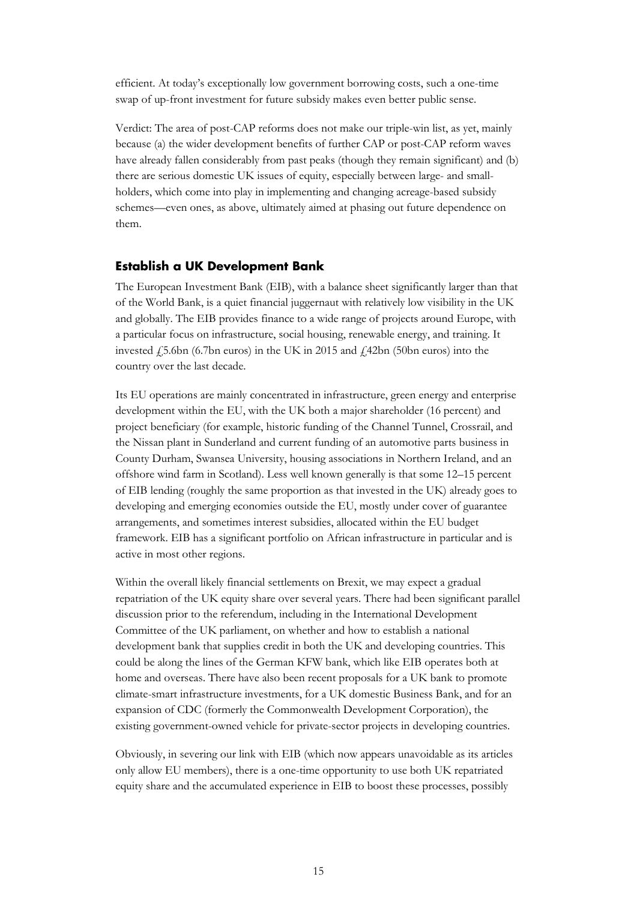efficient. At today's exceptionally low government borrowing costs, such a one-time swap of up-front investment for future subsidy makes even better public sense.

Verdict: The area of post-CAP reforms does not make our triple-win list, as yet, mainly because (a) the wider development benefits of further CAP or post-CAP reform waves have already fallen considerably from past peaks (though they remain significant) and (b) there are serious domestic UK issues of equity, especially between large- and smallholders, which come into play in implementing and changing acreage-based subsidy schemes—even ones, as above, ultimately aimed at phasing out future dependence on them.

## <span id="page-17-0"></span>**Establish a UK Development Bank**

The European Investment Bank (EIB), with a balance sheet significantly larger than that of the World Bank, is a quiet financial juggernaut with relatively low visibility in the UK and globally. The EIB provides finance to a wide range of projects around Europe, with a particular focus on infrastructure, social housing, renewable energy, and training. It invested  $\angle$  5.6bn (6.7bn euros) in the UK in 2015 and  $\angle$  42bn (50bn euros) into the country over the last decade.

Its EU operations are mainly concentrated in infrastructure, green energy and enterprise development within the EU, with the UK both a major shareholder (16 percent) and project beneficiary (for example, historic funding of the Channel Tunnel, Crossrail, and the Nissan plant in Sunderland and current funding of an automotive parts business in County Durham, Swansea University, housing associations in Northern Ireland, and an offshore wind farm in Scotland). Less well known generally is that some 12–15 percent of EIB lending (roughly the same proportion as that invested in the UK) already goes to developing and emerging economies outside the EU, mostly under cover of guarantee arrangements, and sometimes interest subsidies, allocated within the EU budget framework. EIB has a significant portfolio on African infrastructure in particular and is active in most other regions.

Within the overall likely financial settlements on Brexit, we may expect a gradual repatriation of the UK equity share over several years. There had been significant parallel discussion prior to the referendum, including in the International Development Committee of the UK parliament, on whether and how to establish a national development bank that supplies credit in both the UK and developing countries. This could be along the lines of the German KFW bank, which like EIB operates both at home and overseas. There have also been recent proposals for a UK bank to promote climate-smart infrastructure investments, for a UK domestic Business Bank, and for an expansion of CDC (formerly the Commonwealth Development Corporation), the existing government-owned vehicle for private-sector projects in developing countries.

Obviously, in severing our link with EIB (which now appears unavoidable as its articles only allow EU members), there is a one-time opportunity to use both UK repatriated equity share and the accumulated experience in EIB to boost these processes, possibly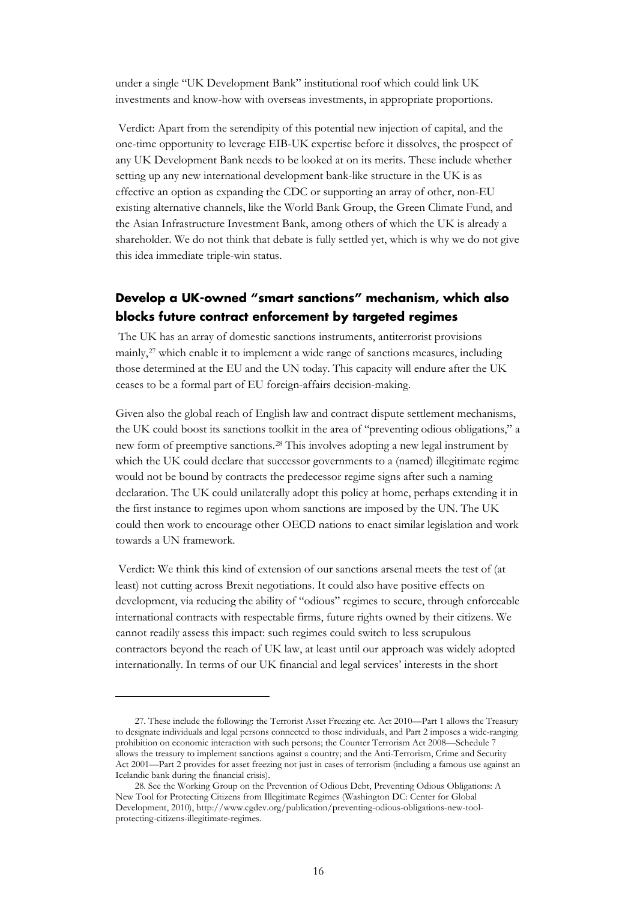under a single "UK Development Bank" institutional roof which could link UK investments and know-how with overseas investments, in appropriate proportions.

Verdict: Apart from the serendipity of this potential new injection of capital, and the one-time opportunity to leverage EIB-UK expertise before it dissolves, the prospect of any UK Development Bank needs to be looked at on its merits. These include whether setting up any new international development bank-like structure in the UK is as effective an option as expanding the CDC or supporting an array of other, non-EU existing alternative channels, like the World Bank Group, the Green Climate Fund, and the Asian Infrastructure Investment Bank, among others of which the UK is already a shareholder. We do not think that debate is fully settled yet, which is why we do not give this idea immediate triple-win status.

## <span id="page-18-0"></span>**Develop a UK-owned "smart sanctions" mechanism, which also blocks future contract enforcement by targeted regimes**

The UK has an array of domestic sanctions instruments, antiterrorist provisions mainly,[27](#page-18-1) which enable it to implement a wide range of sanctions measures, including those determined at the EU and the UN today. This capacity will endure after the UK ceases to be a formal part of EU foreign-affairs decision-making.

Given also the global reach of English law and contract dispute settlement mechanisms, the UK could boost its sanctions toolkit in the area of "preventing odious obligations," a new form of preemptive sanctions.[28](#page-18-2) This involves adopting a new legal instrument by which the UK could declare that successor governments to a (named) illegitimate regime would not be bound by contracts the predecessor regime signs after such a naming declaration. The UK could unilaterally adopt this policy at home, perhaps extending it in the first instance to regimes upon whom sanctions are imposed by the UN. The UK could then work to encourage other OECD nations to enact similar legislation and work towards a UN framework.

Verdict: We think this kind of extension of our sanctions arsenal meets the test of (at least) not cutting across Brexit negotiations. It could also have positive effects on development, via reducing the ability of "odious" regimes to secure, through enforceable international contracts with respectable firms, future rights owned by their citizens. We cannot readily assess this impact: such regimes could switch to less scrupulous contractors beyond the reach of UK law, at least until our approach was widely adopted internationally. In terms of our UK financial and legal services' interests in the short

<span id="page-18-1"></span><sup>27.</sup> These include the following: the Terrorist Asset Freezing etc. Act 2010—Part 1 allows the Treasury to designate individuals and legal persons connected to those individuals, and Part 2 imposes a wide-ranging prohibition on economic interaction with such persons; the Counter Terrorism Act 2008—Schedule 7 allows the treasury to implement sanctions against a country; and the Anti-Terrorism, Crime and Security Act 2001—Part 2 provides for asset freezing not just in cases of terrorism (including a famous use against an Icelandic bank during the financial crisis).

<span id="page-18-2"></span><sup>28.</sup> See the Working Group on the Prevention of Odious Debt, Preventing Odious Obligations: A New Tool for Protecting Citizens from Illegitimate Regimes (Washington DC: Center for Global Development, 2010)[, http://www.cgdev.org/publication/preventing-odious-obligations-new-tool](http://www.cgdev.org/publication/preventing-odious-obligations-new-tool-protecting-citizens-illegitimate-regimes)[protecting-citizens-illegitimate-regimes.](http://www.cgdev.org/publication/preventing-odious-obligations-new-tool-protecting-citizens-illegitimate-regimes)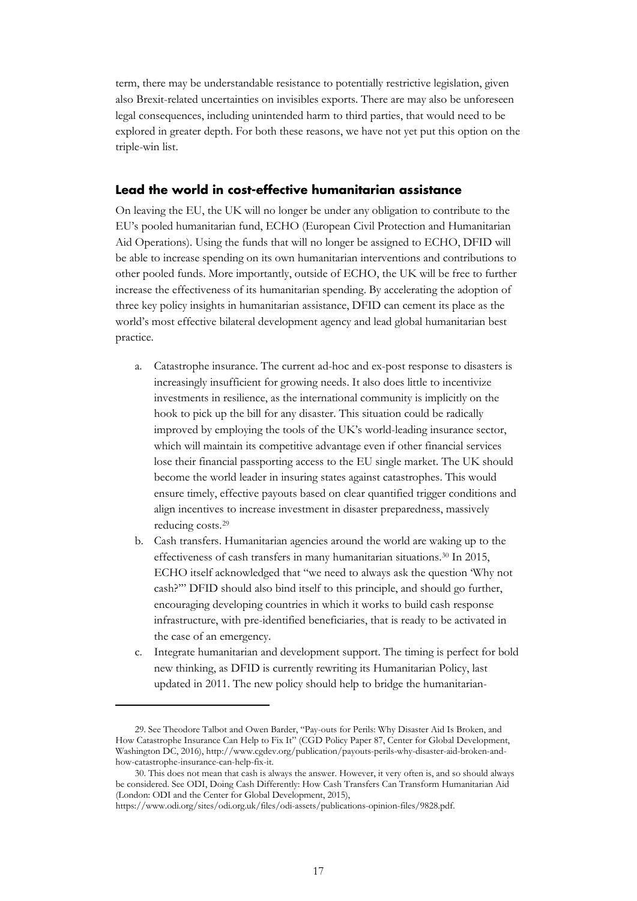term, there may be understandable resistance to potentially restrictive legislation, given also Brexit-related uncertainties on invisibles exports. There are may also be unforeseen legal consequences, including unintended harm to third parties, that would need to be explored in greater depth. For both these reasons, we have not yet put this option on the triple-win list.

## <span id="page-19-0"></span>**Lead the world in cost-effective humanitarian assistance**

On leaving the EU, the UK will no longer be under any obligation to contribute to the EU's pooled humanitarian fund, ECHO (European Civil Protection and Humanitarian Aid Operations). Using the funds that will no longer be assigned to ECHO, DFID will be able to increase spending on its own humanitarian interventions and contributions to other pooled funds. More importantly, outside of ECHO, the UK will be free to further increase the effectiveness of its humanitarian spending. By accelerating the adoption of three key policy insights in humanitarian assistance, DFID can cement its place as the world's most effective bilateral development agency and lead global humanitarian best practice.

- a. Catastrophe insurance. The current ad-hoc and ex-post response to disasters is increasingly insufficient for growing needs. It also does little to incentivize investments in resilience, as the international community is implicitly on the hook to pick up the bill for any disaster. This situation could be radically improved by employing the tools of the UK's world-leading insurance sector, which will maintain its competitive advantage even if other financial services lose their financial passporting access to the EU single market. The UK should become the world leader in insuring states against catastrophes. This would ensure timely, effective payouts based on clear quantified trigger conditions and align incentives to increase investment in disaster preparedness, massively reducing costs.[29](#page-19-1)
- b. Cash transfers. Humanitarian agencies around the world are waking up to the effectiveness of cash transfers in many humanitarian situations.[30](#page-19-2) In 2015, ECHO itself acknowledged that "we need to always ask the question 'Why not cash?'" DFID should also bind itself to this principle, and should go further, encouraging developing countries in which it works to build cash response infrastructure, with pre-identified beneficiaries, that is ready to be activated in the case of an emergency.
- c. Integrate humanitarian and development support. The timing is perfect for bold new thinking, as DFID is currently rewriting its Humanitarian Policy, last updated in 2011. The new policy should help to bridge the humanitarian-

<span id="page-19-1"></span><sup>29.</sup> See Theodore Talbot and Owen Barder, "Pay-outs for Perils: Why Disaster Aid Is Broken, and How Catastrophe Insurance Can Help to Fix It" (CGD Policy Paper 87, Center for Global Development, Washington DC, 2016), [http://www.cgdev.org/publication/payouts-perils-why-disaster-aid-broken-and](http://www.cgdev.org/publication/payouts-perils-why-disaster-aid-broken-and-how-catastrophe-insurance-can-help-fix-it)[how-catastrophe-insurance-can-help-fix-it.](http://www.cgdev.org/publication/payouts-perils-why-disaster-aid-broken-and-how-catastrophe-insurance-can-help-fix-it)

<span id="page-19-2"></span><sup>30.</sup> This does not mean that cash is always the answer. However, it very often is, and so should always be considered. See ODI, Doing Cash Differently: How Cash Transfers Can Transform Humanitarian Aid (London: ODI and the Center for Global Development, 2015),

[https://www.odi.org/sites/odi.org.uk/files/odi-assets/publications-opinion-files/9828.pdf.](https://www.odi.org/sites/odi.org.uk/files/odi-assets/publications-opinion-files/9828.pdf)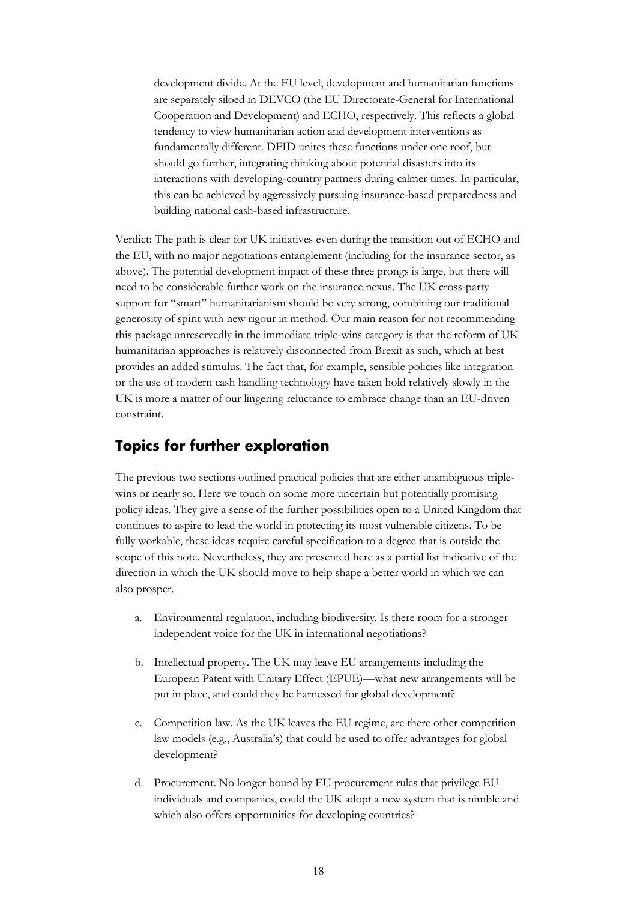development divide. At the EU level, development and humanitarian functions are separately siloed in DEVCO (the EU Directorate-General for International Cooperation and Development) and ECHO, respectively. This reflects a global tendency to view humanitarian action and development interventions as fundamentally different. DFID unites these functions under one roof, but should go further, integrating thinking about potential disasters into its interactions with developing-country partners during calmer times. In particular, this can be achieved by aggressively pursuing insurance-based preparedness and building national cash-based infrastructure.

Verdict: The path is clear for UK initiatives even during the transition out of ECHO and the EU, with no major negotiations entanglement (including for the insurance sector, as above). The potential development impact of these three prongs is large, but there will need to be considerable further work on the insurance nexus. The UK cross-party support for "smart" humanitarianism should be very strong, combining our traditional generosity of spirit with new rigour in method. Our main reason for not recommending this package unreservedly in the immediate triple-wins category is that the reform of UK humanitarian approaches is relatively disconnected from Brexit as such, which at best provides an added stimulus. The fact that, for example, sensible policies like integration or the use of modern cash handling technology have taken hold relatively slowly in the UK is more a matter of our lingering reluctance to embrace change than an EU-driven constraint.

## <span id="page-20-0"></span>**Topics for further exploration**

The previous two sections outlined practical policies that are either unambiguous triplewins or nearly so. Here we touch on some more uncertain but potentially promising policy ideas. They give a sense of the further possibilities open to a United Kingdom that continues to aspire to lead the world in protecting its most vulnerable citizens. To be fully workable, these ideas require careful specification to a degree that is outside the scope of this note. Nevertheless, they are presented here as a partial list indicative of the direction in which the UK should move to help shape a better world in which we can also prosper.

- a. Environmental regulation, including biodiversity. Is there room for a stronger independent voice for the UK in international negotiations?
- b. Intellectual property. The UK may leave EU arrangements including the European Patent with Unitary Effect (EPUE)—what new arrangements will be put in place, and could they be harnessed for global development?
- c. Competition law. As the UK leaves the EU regime, are there other competition law models (e.g., Australia's) that could be used to offer advantages for global development?
- d. Procurement. No longer bound by EU procurement rules that privilege EU individuals and companies, could the UK adopt a new system that is nimble and which also offers opportunities for developing countries?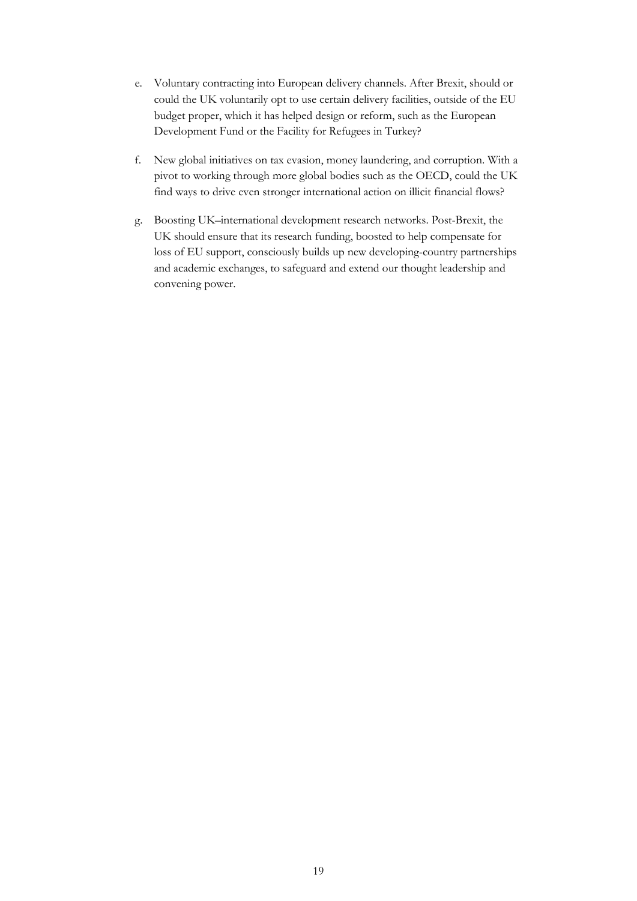- e. Voluntary contracting into European delivery channels. After Brexit, should or could the UK voluntarily opt to use certain delivery facilities, outside of the EU budget proper, which it has helped design or reform, such as the European Development Fund or the Facility for Refugees in Turkey?
- f. New global initiatives on tax evasion, money laundering, and corruption. With a pivot to working through more global bodies such as the OECD, could the UK find ways to drive even stronger international action on illicit financial flows?
- g. Boosting UK–international development research networks. Post-Brexit, the UK should ensure that its research funding, boosted to help compensate for loss of EU support, consciously builds up new developing-country partnerships and academic exchanges, to safeguard and extend our thought leadership and convening power.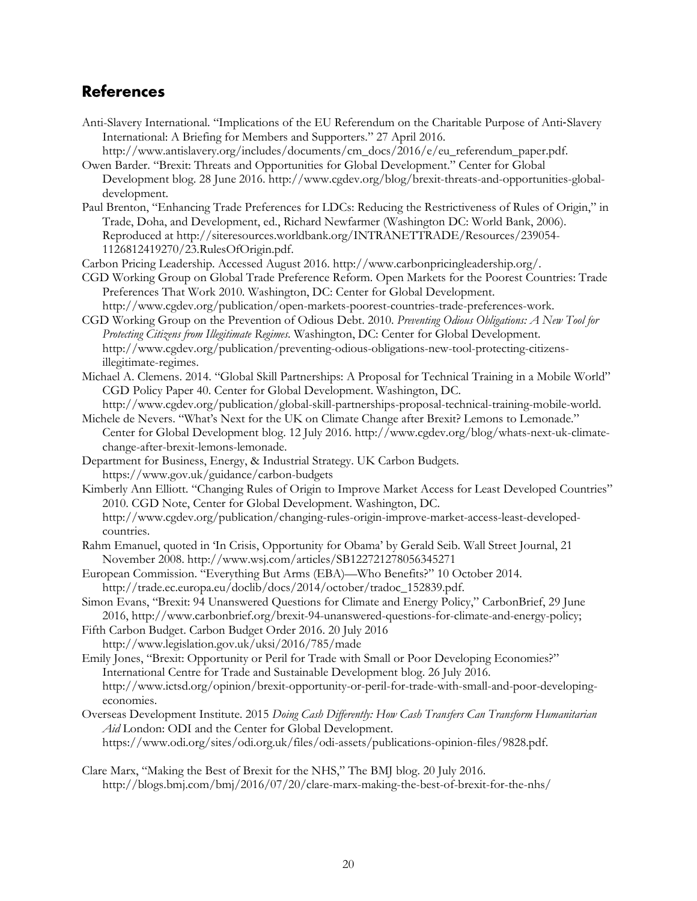# **References**

- Anti-Slavery International. "Implications of the EU Referendum on the Charitable Purpose of Anti‐Slavery International: A Briefing for Members and Supporters." 27 April 2016.
- [http://www.antislavery.org/includes/documents/cm\\_docs/2016/e/eu\\_referendum\\_paper.pdf.](http://www.antislavery.org/includes/documents/cm_docs/2016/e/eu_referendum_paper.pdf) Owen Barder. "Brexit: Threats and Opportunities for Global Development." Center for Global
- Development blog. 28 June 2016. [http://www.cgdev.org/blog/brexit-threats-and-opportunities-global](http://www.cgdev.org/blog/brexit-threats-and-opportunities-global-development)[development.](http://www.cgdev.org/blog/brexit-threats-and-opportunities-global-development)
- Paul Brenton, "Enhancing Trade Preferences for LDCs: Reducing the Restrictiveness of Rules of Origin," in Trade, Doha, and Development, ed., Richard Newfarmer (Washington DC: World Bank, 2006). Reproduced at [http://siteresources.worldbank.org/INTRANETTRADE/Resources/239054-](http://siteresources.worldbank.org/INTRANETTRADE/Resources/239054-1126812419270/23.RulesOfOrigin.pdf) [1126812419270/23.RulesOfOrigin.pdf.](http://siteresources.worldbank.org/INTRANETTRADE/Resources/239054-1126812419270/23.RulesOfOrigin.pdf)
- Carbon Pricing Leadership. Accessed August 2016. [http://www.carbonpricingleadership.org/.](http://www.carbonpricingleadership.org/)
- CGD Working Group on Global Trade Preference Reform. Open Markets for the Poorest Countries: Trade Preferences That Work 2010. Washington, DC: Center for Global Development.
- [http://www.cgdev.org/publication/open-markets-poorest-countries-trade-preferences-work.](http://www.cgdev.org/publication/open-markets-poorest-countries-trade-preferences-work) CGD Working Group on the Prevention of Odious Debt. 2010. *Preventing Odious Obligations: A New Tool for Protecting Citizens from Illegitimate Regimes.* Washington, DC: Center for Global Development. [http://www.cgdev.org/publication/preventing-odious-obligations-new-tool-protecting-citizens](http://www.cgdev.org/publication/preventing-odious-obligations-new-tool-protecting-citizens-illegitimate-regimes)[illegitimate-regimes.](http://www.cgdev.org/publication/preventing-odious-obligations-new-tool-protecting-citizens-illegitimate-regimes)
- Michael A. Clemens. 2014. "Global Skill Partnerships: A Proposal for Technical Training in a Mobile World" CGD Policy Paper 40. Center for Global Development. Washington, DC. [http://www.cgdev.org/publication/global-skill-partnerships-proposal-technical-training-mobile-world.](http://www.cgdev.org/publication/global-skill-partnerships-proposal-technical-training-mobile-world)
- Michele de Nevers. "What's Next for the UK on Climate Change after Brexit? Lemons to Lemonade." Center for Global Development blog. 12 July 2016. [http://www.cgdev.org/blog/whats-next-uk-climate](http://www.cgdev.org/blog/whats-next-uk-climate-change-after-brexit-lemons-lemonade)[change-after-brexit-lemons-lemonade.](http://www.cgdev.org/blog/whats-next-uk-climate-change-after-brexit-lemons-lemonade)
- Department for Business, Energy, & Industrial Strategy. UK Carbon Budgets. <https://www.gov.uk/guidance/carbon-budgets>
- Kimberly Ann Elliott. "Changing Rules of Origin to Improve Market Access for Least Developed Countries" 2010. CGD Note, Center for Global Development. Washington, DC. [http://www.cgdev.org/publication/changing-rules-origin-improve-market-access-least-developed](http://www.cgdev.org/publication/changing-rules-origin-improve-market-access-least-developed-countries)[countries.](http://www.cgdev.org/publication/changing-rules-origin-improve-market-access-least-developed-countries)
- Rahm Emanuel, quoted in 'In Crisis, Opportunity for Obama' by Gerald Seib. Wall Street Journal, 21 November 2008. http://www.wsj.com/articles/SB122721278056345271
- European Commission. "Everything But Arms (EBA)—Who Benefits?" 10 October 2014. [http://trade.ec.europa.eu/doclib/docs/2014/october/tradoc\\_152839.pdf.](http://trade.ec.europa.eu/doclib/docs/2014/october/tradoc_152839.pdf)
- Simon Evans, "Brexit: 94 Unanswered Questions for Climate and Energy Policy," CarbonBrief, 29 June 2016, [http://www.carbonbrief.org/brexit-94-unanswered-questions-for-climate-and-energy-policy;](http://www.carbonbrief.org/brexit-94-unanswered-questions-for-climate-and-energy-policy)
- Fifth Carbon Budget. Carbon Budget Order 2016. 20 July 2016
- <http://www.legislation.gov.uk/uksi/2016/785/made>
- Emily Jones, "Brexit: Opportunity or Peril for Trade with Small or Poor Developing Economies?" International Centre for Trade and Sustainable Development blog. 26 July 2016. [http://www.ictsd.org/opinion/brexit-opportunity-or-peril-for-trade-with-small-and-poor-developing](http://www.ictsd.org/opinion/brexit-opportunity-or-peril-for-trade-with-small-and-poor-developing-economies)[economies.](http://www.ictsd.org/opinion/brexit-opportunity-or-peril-for-trade-with-small-and-poor-developing-economies)
- Overseas Development Institute. 2015 *Doing Cash Differently: How Cash Transfers Can Transform Humanitarian Aid* London: ODI and the Center for Global Development. [https://www.odi.org/sites/odi.org.uk/files/odi-assets/publications-opinion-files/9828.pdf.](https://www.odi.org/sites/odi.org.uk/files/odi-assets/publications-opinion-files/9828.pdf)
- Clare Marx, "Making the Best of Brexit for the NHS," The BMJ blog. 20 July 2016. <http://blogs.bmj.com/bmj/2016/07/20/clare-marx-making-the-best-of-brexit-for-the-nhs/>